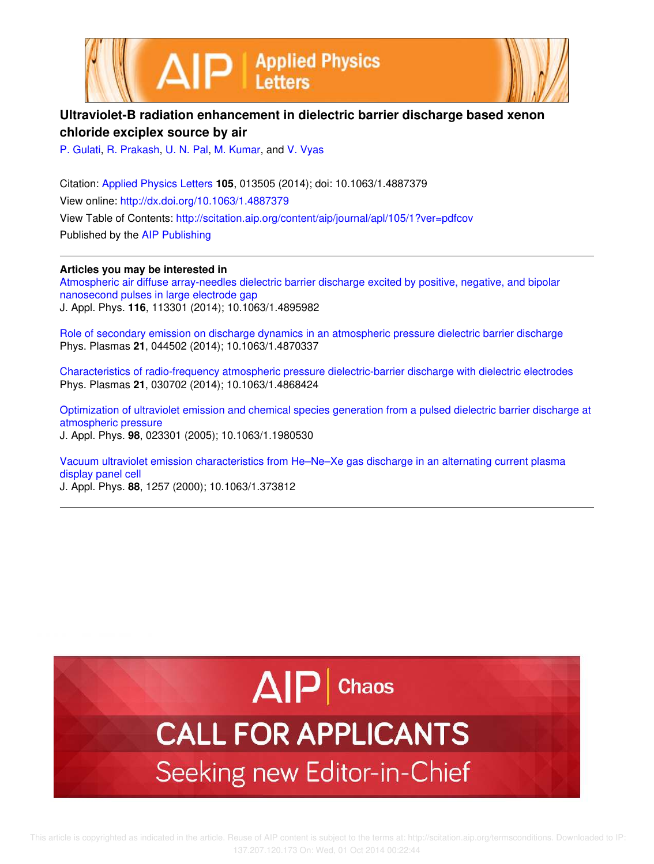



### **Ultraviolet-B radiation enhancement in dielectric barrier discharge based xenon chloride exciplex source by air**

P. Gulati, R. Prakash, U. N. Pal, M. Kumar, and V. Vyas

Citation: Applied Physics Letters **105**, 013505 (2014); doi: 10.1063/1.4887379 View online: http://dx.doi.org/10.1063/1.4887379 View Table of Contents: http://scitation.aip.org/content/aip/journal/apl/105/1?ver=pdfcov Published by the AIP Publishing

#### **Articles you may be interested in**

Atmospheric air diffuse array-needles dielectric barrier discharge excited by positive, negative, and bipolar nanosecond pulses in large electrode gap J. Appl. Phys. **116**, 113301 (2014); 10.1063/1.4895982

Role of secondary emission on discharge dynamics in an atmospheric pressure dielectric barrier discharge Phys. Plasmas **21**, 044502 (2014); 10.1063/1.4870337

Characteristics of radio-frequency atmospheric pressure dielectric-barrier discharge with dielectric electrodes Phys. Plasmas **21**, 030702 (2014); 10.1063/1.4868424

Optimization of ultraviolet emission and chemical species generation from a pulsed dielectric barrier discharge at atmospheric pressure J. Appl. Phys. **98**, 023301 (2005); 10.1063/1.1980530

Vacuum ultraviolet emission characteristics from He–Ne–Xe gas discharge in an alternating current plasma display panel cell

J. Appl. Phys. **88**, 1257 (2000); 10.1063/1.373812

# $\Delta$  $\vert$ P | Chaos

## **CALL FOR APPLICANTS** Seeking new Editor-in-Chief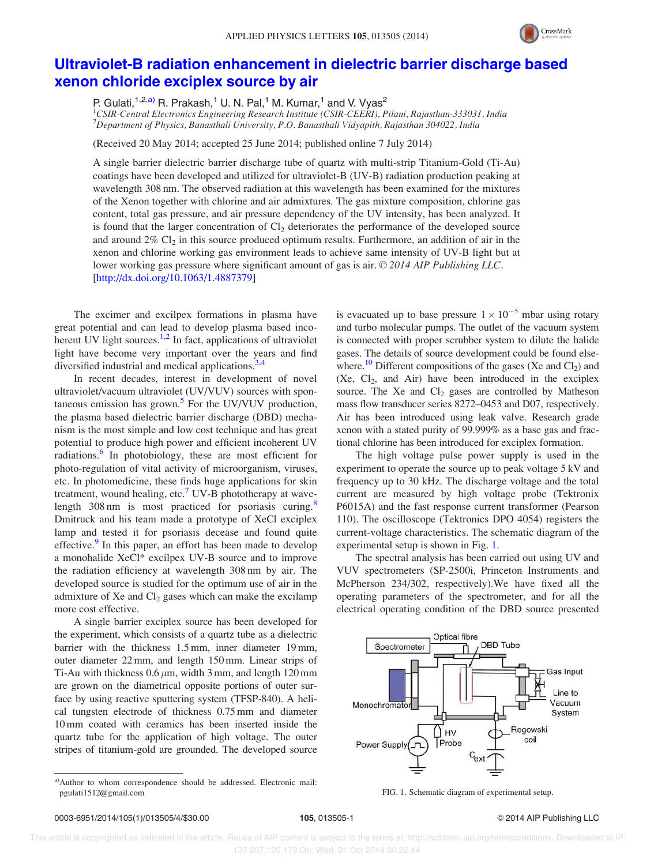

### Ultraviolet-B radiation enhancement in dielectric barrier discharge based xenon chloride exciplex source by air

P. Gulati,<sup>1,2,a)</sup> R. Prakash,<sup>1</sup> U. N. Pal,<sup>1</sup> M. Kumar,<sup>1</sup> and V. Vyas<sup>2</sup>

 ${}^{1}$ CSIR-Central Electronics Engineering Research Institute (CSIR-CEERI), Pilani, Rajasthan-333031, India <sup>2</sup>Department of Physics, Banasthali University, P.O. Banasthali Vidyapith, Rajasthan 304022, India

(Received 20 May 2014; accepted 25 June 2014; published online 7 July 2014)

A single barrier dielectric barrier discharge tube of quartz with multi-strip Titanium-Gold (Ti-Au) coatings have been developed and utilized for ultraviolet-B (UV-B) radiation production peaking at wavelength 308 nm. The observed radiation at this wavelength has been examined for the mixtures of the Xenon together with chlorine and air admixtures. The gas mixture composition, chlorine gas content, total gas pressure, and air pressure dependency of the UV intensity, has been analyzed. It is found that the larger concentration of  $Cl_2$  deteriorates the performance of the developed source and around  $2\%$  Cl<sub>2</sub> in this source produced optimum results. Furthermore, an addition of air in the xenon and chlorine working gas environment leads to achieve same intensity of UV-B light but at lower working gas pressure where significant amount of gas is air. © 2014 AIP Publishing LLC. [http://dx.doi.org/10.1063/1.4887379]

The excimer and excilpex formations in plasma have great potential and can lead to develop plasma based incoherent UV light sources.<sup>1,2</sup> In fact, applications of ultraviolet light have become very important over the years and find diversified industrial and medical applications.<sup>3,4</sup>

In recent decades, interest in development of novel ultraviolet/vacuum ultraviolet (UV/VUV) sources with spontaneous emission has grown.<sup>5</sup> For the UV/VUV production, the plasma based dielectric barrier discharge (DBD) mechanism is the most simple and low cost technique and has great potential to produce high power and efficient incoherent UV radiations.<sup>6</sup> In photobiology, these are most efficient for photo-regulation of vital activity of microorganism, viruses, etc. In photomedicine, these finds huge applications for skin treatment, wound healing, etc.<sup>7</sup> UV-B phototherapy at wavelength  $308 \text{ nm}$  is most practiced for psoriasis curing.<sup>8</sup> Dmitruck and his team made a prototype of XeCl exciplex lamp and tested it for psoriasis decease and found quite effective.<sup>9</sup> In this paper, an effort has been made to develop a monohalide XeCl\* excilpex UV-B source and to improve the radiation efficiency at wavelength 308 nm by air. The developed source is studied for the optimum use of air in the admixture of Xe and  $Cl<sub>2</sub>$  gases which can make the excilamp more cost effective.

A single barrier exciplex source has been developed for the experiment, which consists of a quartz tube as a dielectric barrier with the thickness 1.5 mm, inner diameter 19 mm, outer diameter 22 mm, and length 150 mm. Linear strips of Ti-Au with thickness  $0.6 \mu m$ , width 3 mm, and length 120 mm are grown on the diametrical opposite portions of outer surface by using reactive sputtering system (TFSP-840). A helical tungsten electrode of thickness 0.75 mm and diameter 10 mm coated with ceramics has been inserted inside the quartz tube for the application of high voltage. The outer stripes of titanium-gold are grounded. The developed source

a)Author to whom correspondence should be addressed. Electronic mail: pgulati1512@gmail.com

is evacuated up to base pressure  $1 \times 10^{-5}$  mbar using rotary and turbo molecular pumps. The outlet of the vacuum system is connected with proper scrubber system to dilute the halide gases. The details of source development could be found elsewhere.<sup>10</sup> Different compositions of the gases (Xe and  $Cl_2$ ) and  $(Xe, Cl<sub>2</sub>, and Air)$  have been introduced in the exciplex source. The Xe and  $Cl<sub>2</sub>$  gases are controlled by Matheson mass flow transducer series 8272–0453 and D07, respectively. Air has been introduced using leak valve. Research grade xenon with a stated purity of 99.999% as a base gas and fractional chlorine has been introduced for exciplex formation.

The high voltage pulse power supply is used in the experiment to operate the source up to peak voltage 5 kV and frequency up to 30 kHz. The discharge voltage and the total current are measured by high voltage probe (Tektronix P6015A) and the fast response current transformer (Pearson 110). The oscilloscope (Tektronics DPO 4054) registers the current-voltage characteristics. The schematic diagram of the experimental setup is shown in Fig. 1.

The spectral analysis has been carried out using UV and VUV spectrometers (SP-2500i, Princeton Instruments and McPherson 234/302, respectively).We have fixed all the operating parameters of the spectrometer, and for all the electrical operating condition of the DBD source presented



FIG. 1. Schematic diagram of experimental setup.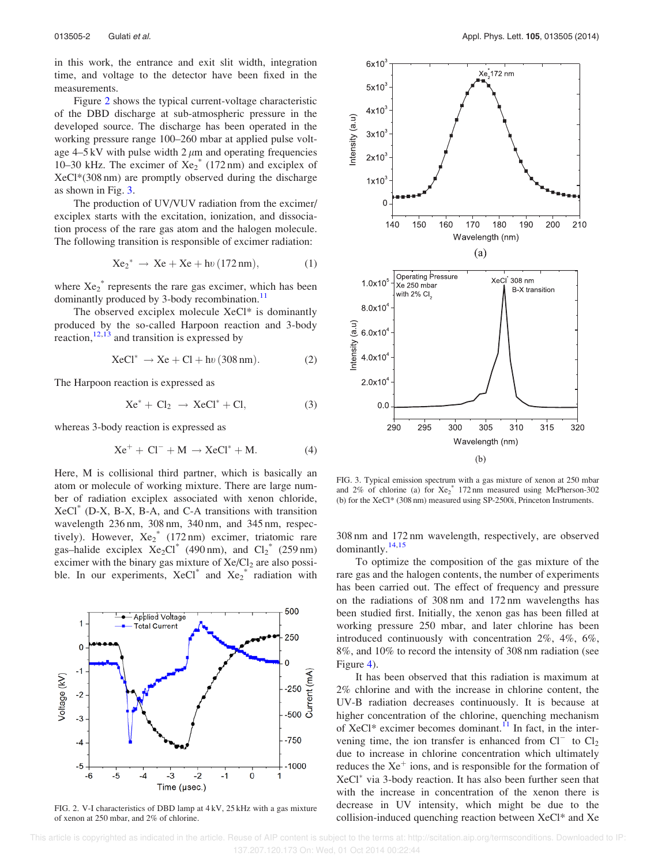in this work, the entrance and exit slit width, integration time, and voltage to the detector have been fixed in the measurements.

Figure 2 shows the typical current-voltage characteristic of the DBD discharge at sub-atmospheric pressure in the developed source. The discharge has been operated in the working pressure range 100–260 mbar at applied pulse voltage  $4-5$  kV with pulse width  $2 \mu m$  and operating frequencies 10–30 kHz. The excimer of  $Xe_2^*$  (172 nm) and exciplex of XeCl\*(308 nm) are promptly observed during the discharge as shown in Fig. 3.

The production of UV/VUV radiation from the excimer/ exciplex starts with the excitation, ionization, and dissociation process of the rare gas atom and the halogen molecule. The following transition is responsible of excimer radiation:

$$
Xe_2^* \to Xe + Xe + hv (172 nm), \tag{1}
$$

where  $Xe_2^*$  represents the rare gas excimer, which has been dominantly produced by 3-body recombination.<sup>11</sup>

The observed exciplex molecule XeCl\* is dominantly produced by the so-called Harpoon reaction and 3-body reaction,  $12,13$  and transition is expressed by

$$
XeCl^* \to Xe + Cl + hv (308 nm). \tag{2}
$$

The Harpoon reaction is expressed as

$$
Xe^* + Cl_2 \rightarrow XeCl^* + Cl,
$$
 (3)

whereas 3-body reaction is expressed as

$$
Xe^{+} + Cl^{-} + M \rightarrow XeCl^{*} + M.
$$
 (4)

Here, M is collisional third partner, which is basically an atom or molecule of working mixture. There are large number of radiation exciplex associated with xenon chloride, XeCl\* (D-X, B-X, B-A, and C-A transitions with transition wavelength 236 nm, 308 nm, 340 nm, and 345 nm, respectively). However,  $Xe_2^*$  (172 nm) excimer, triatomic rare gas–halide exciplex  $Xe_2Cl^*$  (490 nm), and  $Cl_2^*$  (259 nm) excimer with the binary gas mixture of Xe/Cl<sub>2</sub> are also possible. In our experiments,  $XeCl^*$  and  $Xe_2^*$  radiation with



FIG. 2. V-I characteristics of DBD lamp at 4 kV, 25 kHz with a gas mixture of xenon at 250 mbar, and 2% of chlorine.



FIG. 3. Typical emission spectrum with a gas mixture of xenon at 250 mbar and  $2\%$  of chlorine (a) for  $Xe_2^*$  172 nm measured using McPherson-302 (b) for the XeCl\* (308 nm) measured using SP-2500i, Princeton Instruments.

308 nm and 172 nm wavelength, respectively, are observed dominantly.14,15

To optimize the composition of the gas mixture of the rare gas and the halogen contents, the number of experiments has been carried out. The effect of frequency and pressure on the radiations of 308 nm and 172 nm wavelengths has been studied first. Initially, the xenon gas has been filled at working pressure 250 mbar, and later chlorine has been introduced continuously with concentration 2%, 4%, 6%, 8%, and 10% to record the intensity of 308 nm radiation (see Figure 4).

It has been observed that this radiation is maximum at 2% chlorine and with the increase in chlorine content, the UV-B radiation decreases continuously. It is because at higher concentration of the chlorine, quenching mechanism of XeCl<sup>\*</sup> excimer becomes dominant.<sup>11</sup> In fact, in the intervening time, the ion transfer is enhanced from  $Cl^-$  to  $Cl_2$ due to increase in chlorine concentration which ultimately reduces the  $Xe^+$  ions, and is responsible for the formation of XeCl<sup>\*</sup> via 3-body reaction. It has also been further seen that with the increase in concentration of the xenon there is decrease in UV intensity, which might be due to the collision-induced quenching reaction between XeCl\* and Xe

 This article is copyrighted as indicated in the article. Reuse of AIP content is subject to the terms at: http://scitation.aip.org/termsconditions. Downloaded to IP: 137.207.120.173 On: Wed, 01 Oct 2014 00:22:44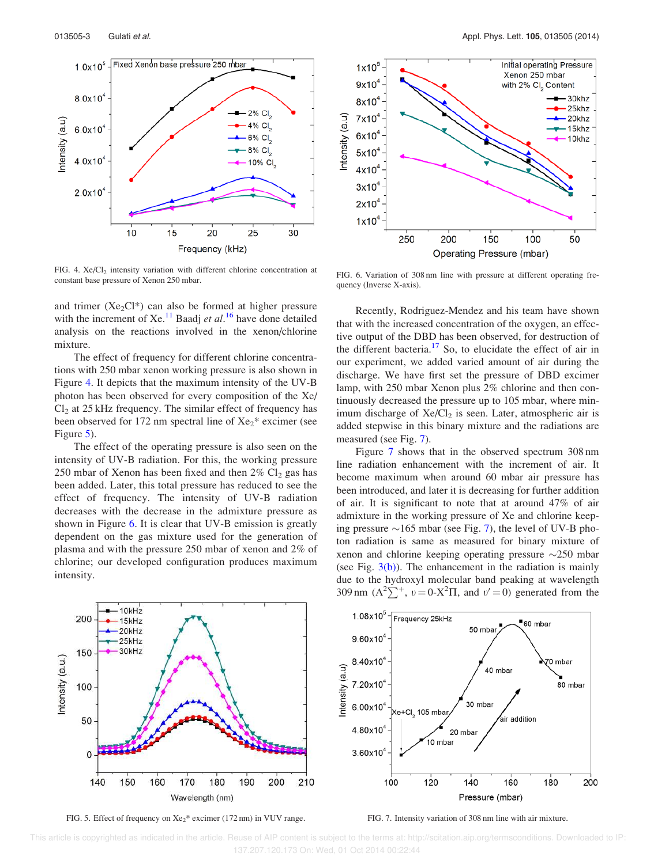

FIG. 4.  $Xe/Cl<sub>2</sub>$  intensity variation with different chlorine concentration at constant base pressure of Xenon 250 mbar.

and trimer ( $Xe_2Cl^*$ ) can also be formed at higher pressure with the increment of Xe.<sup>11</sup> Baadj et al.<sup>16</sup> have done detailed analysis on the reactions involved in the xenon/chlorine mixture.

The effect of frequency for different chlorine concentrations with 250 mbar xenon working pressure is also shown in Figure 4. It depicts that the maximum intensity of the UV-B photon has been observed for every composition of the Xe/  $Cl<sub>2</sub>$  at 25 kHz frequency. The similar effect of frequency has been observed for 172 nm spectral line of  $Xe_2$ <sup>\*</sup> excimer (see Figure 5).

The effect of the operating pressure is also seen on the intensity of UV-B radiation. For this, the working pressure 250 mbar of Xenon has been fixed and then  $2\%$  Cl<sub>2</sub> gas has been added. Later, this total pressure has reduced to see the effect of frequency. The intensity of UV-B radiation decreases with the decrease in the admixture pressure as shown in Figure 6. It is clear that UV-B emission is greatly dependent on the gas mixture used for the generation of plasma and with the pressure 250 mbar of xenon and 2% of chlorine; our developed configuration produces maximum intensity.



FIG. 6. Variation of 308 nm line with pressure at different operating frequency (Inverse X-axis).

Recently, Rodriguez-Mendez and his team have shown that with the increased concentration of the oxygen, an effective output of the DBD has been observed, for destruction of the different bacteria.<sup>17</sup> So, to elucidate the effect of air in our experiment, we added varied amount of air during the discharge. We have first set the pressure of DBD excimer lamp, with 250 mbar Xenon plus 2% chlorine and then continuously decreased the pressure up to 105 mbar, where minimum discharge of  $Xe/Cl<sub>2</sub>$  is seen. Later, atmospheric air is added stepwise in this binary mixture and the radiations are measured (see Fig. 7).

Figure 7 shows that in the observed spectrum 308 nm line radiation enhancement with the increment of air. It become maximum when around 60 mbar air pressure has been introduced, and later it is decreasing for further addition of air. It is significant to note that at around 47% of air admixture in the working pressure of Xe and chlorine keeping pressure  $\sim$ 165 mbar (see Fig. 7), the level of UV-B photon radiation is same as measured for binary mixture of xenon and chlorine keeping operating pressure  $\sim$ 250 mbar (see Fig.  $3(b)$ ). The enhancement in the radiation is mainly due to the hydroxyl molecular band peaking at wavelength 309 nm  $(A^2\Sigma^+, v=0-X^2\Pi$ , and  $v'=0$ ) generated from the



FIG. 5. Effect of frequency on  $Xe_2$ <sup>\*</sup> excimer (172 nm) in VUV range.

FIG. 7. Intensity variation of 308 nm line with air mixture.

200

 This article is copyrighted as indicated in the article. Reuse of AIP content is subject to the terms at: http://scitation.aip.org/termsconditions. Downloaded to IP: 137.207.120.173 On: Wed, 01 Oct 2014 00:22:44